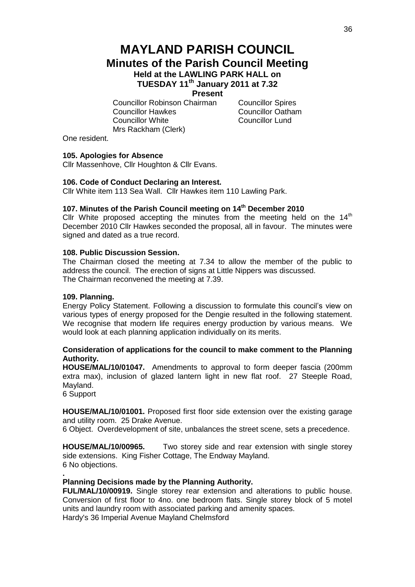# **MAYLAND PARISH COUNCIL Minutes of the Parish Council Meeting Held at the LAWLING PARK HALL on TUESDAY 11th January 2011 at 7.32**

**Present**

Councillor Robinson Chairman Councillor Spires Councillor Hawkes Councillor Oatham Councillor White Councillor Lund Mrs Rackham (Clerk)

One resident.

#### **105. Apologies for Absence**

Cllr Massenhove, Cllr Houghton & Cllr Evans.

#### **106. Code of Conduct Declaring an Interest.**

Cllr White item 113 Sea Wall. Cllr Hawkes item 110 Lawling Park.

## **107. Minutes of the Parish Council meeting on 14th December 2010**

Cllr White proposed accepting the minutes from the meeting held on the  $14<sup>th</sup>$ December 2010 Cllr Hawkes seconded the proposal, all in favour. The minutes were signed and dated as a true record.

#### **108. Public Discussion Session.**

The Chairman closed the meeting at 7.34 to allow the member of the public to address the council. The erection of signs at Little Nippers was discussed. The Chairman reconvened the meeting at 7.39.

#### **109. Planning.**

Energy Policy Statement. Following a discussion to formulate this council's view on various types of energy proposed for the Dengie resulted in the following statement. We recognise that modern life requires energy production by various means. We would look at each planning application individually on its merits.

# **Consideration of applications for the council to make comment to the Planning Authority.**

**HOUSE/MAL/10/01047.** Amendments to approval to form deeper fascia (200mm extra max), inclusion of glazed lantern light in new flat roof. 27 Steeple Road, Mayland.

6 Support

**.**

**HOUSE/MAL/10/01001.** Proposed first floor side extension over the existing garage and utility room. 25 Drake Avenue.

6 Object. Overdevelopment of site, unbalances the street scene, sets a precedence.

**HOUSE/MAL/10/00965.** Two storey side and rear extension with single storey side extensions. King Fisher Cottage, The Endway Mayland. 6 No objections.

#### **Planning Decisions made by the Planning Authority.**

**FUL/MAL/10/00919.** Single storey rear extension and alterations to public house. Conversion of first floor to 4no. one bedroom flats. Single storey block of 5 motel units and laundry room with associated parking and amenity spaces. Hardy's 36 Imperial Avenue Mayland Chelmsford

36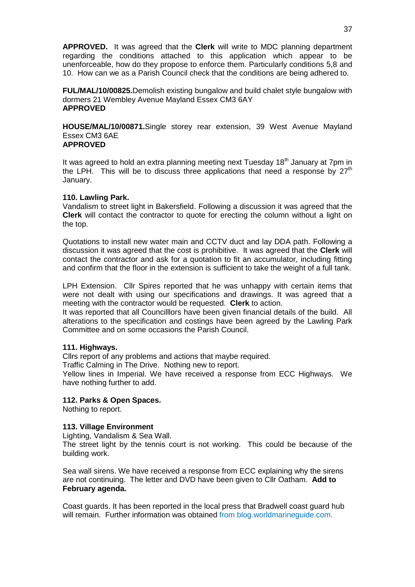**APPROVED.** It was agreed that the **Clerk** will write to MDC planning department regarding the conditions attached to this application which appear to be unenforceable, how do they propose to enforce them. Particularly conditions 5,8 and 10. How can we as a Parish Council check that the conditions are being adhered to.

**FUL/MAL/10/00825.**Demolish existing bungalow and build chalet style bungalow with dormers 21 Wembley Avenue Mayland Essex CM3 6AY **APPROVED**

**HOUSE/MAL/10/00871.**Single storey rear extension, 39 West Avenue Mayland Essex CM3 6AE **APPROVED**

It was agreed to hold an extra planning meeting next Tuesday  $18<sup>th</sup>$  January at 7pm in the LPH. This will be to discuss three applications that need a response by  $27<sup>th</sup>$ January.

#### **110. Lawling Park.**

Vandalism to street light in Bakersfield. Following a discussion it was agreed that the **Clerk** will contact the contractor to quote for erecting the column without a light on the top.

Quotations to install new water main and CCTV duct and lay DDA path. Following a discussion it was agreed that the cost is prohibitive. It was agreed that the **Clerk** will contact the contractor and ask for a quotation to fit an accumulator, including fitting and confirm that the floor in the extension is sufficient to take the weight of a full tank.

LPH Extension. Cllr Spires reported that he was unhappy with certain items that were not dealt with using our specifications and drawings. It was agreed that a meeting with the contractor would be requested. **Clerk** to action.

It was reported that all Councilllors have been given financial details of the build. All alterations to the specification and costings have been agreed by the Lawling Park Committee and on some occasions the Parish Council.

#### **111. Highways.**

Cllrs report of any problems and actions that maybe required.

Traffic Calming in The Drive. Nothing new to report.

Yellow lines in Imperial. We have received a response from ECC Highways. We have nothing further to add.

#### **112. Parks & Open Spaces.**

Nothing to report.

#### **113. Village Environment**

Lighting, Vandalism & Sea Wall.

The street light by the tennis court is not working. This could be because of the building work.

Sea wall sirens. We have received a response from ECC explaining why the sirens are not continuing. The letter and DVD have been given to Cllr Oatham. **Add to February agenda.**

Coast guards. It has been reported in the local press that Bradwell coast guard hub will remain. Further information was obtained from blog.worldmarineguide.com.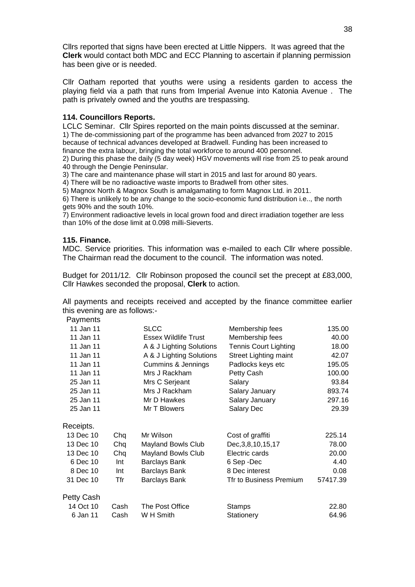Cllrs reported that signs have been erected at Little Nippers. It was agreed that the **Clerk** would contact both MDC and ECC Planning to ascertain if planning permission has been give or is needed.

Cllr Oatham reported that youths were using a residents garden to access the playing field via a path that runs from Imperial Avenue into Katonia Avenue . The path is privately owned and the youths are trespassing.

#### **114. Councillors Reports.**

LCLC Seminar. Cllr Spires reported on the main points discussed at the seminar. 1) The de-commissioning part of the programme has been advanced from 2027 to 2015 because of technical advances developed at Bradwell. Funding has been increased to finance the extra labour, bringing the total workforce to around 400 personnel.

2) During this phase the daily (5 day week) HGV movements will rise from 25 to peak around 40 through the Dengie Peninsular.

3) The care and maintenance phase will start in 2015 and last for around 80 years.

4) There will be no radioactive waste imports to Bradwell from other sites.

5) Magnox North & Magnox South is amalgamating to form Magnox Ltd. in 2011.

6) There is unlikely to be any change to the socio-economic fund distribution i.e.., the north gets 90% and the south 10%.

7) Environment radioactive levels in local grown food and direct irradiation together are less than 10% of the dose limit at 0.098 milli-Sieverts.

#### **115. Finance.**

MDC. Service priorities. This information was e-mailed to each Cllr where possible. The Chairman read the document to the council. The information was noted.

Budget for 2011/12. Cllr Robinson proposed the council set the precept at £83,000, Cllr Hawkes seconded the proposal, **Clerk** to action.

All payments and receipts received and accepted by the finance committee earlier this evening are as follows:-

Payments

| 11 Jan 11  |      | <b>SLCC</b>                 | Membership fees              | 135.00   |
|------------|------|-----------------------------|------------------------------|----------|
| 11 Jan 11  |      | <b>Essex Wildlife Trust</b> | Membership fees              | 40.00    |
| 11 Jan 11  |      | A & J Lighting Solutions    | <b>Tennis Court Lighting</b> | 18.00    |
| 11 Jan 11  |      | A & J Lighting Solutions    | <b>Street Lighting maint</b> | 42.07    |
| 11 Jan 11  |      | Cummins & Jennings          | Padlocks keys etc            | 195.05   |
| 11 Jan 11  |      | Mrs J Rackham               | Petty Cash                   | 100.00   |
| 25 Jan 11  |      | Mrs C Serjeant              | Salary                       | 93.84    |
| 25 Jan 11  |      | Mrs J Rackham               | Salary January               | 893.74   |
| 25 Jan 11  |      | Mr D Hawkes                 | Salary January               | 297.16   |
| 25 Jan 11  |      | Mr T Blowers                | Salary Dec                   | 29.39    |
| Receipts.  |      |                             |                              |          |
| 13 Dec 10  | Chq  | Mr Wilson                   | Cost of graffiti             | 225.14   |
| 13 Dec 10  | Chq  | Mayland Bowls Club          | Dec, 3, 8, 10, 15, 17        | 78.00    |
| 13 Dec 10  | Chq  | <b>Mayland Bowls Club</b>   | Electric cards               | 20.00    |
| 6 Dec 10   | Int  | <b>Barclays Bank</b>        | 6 Sep -Dec                   | 4.40     |
| 8 Dec 10   | Int  | Barclays Bank               | 8 Dec interest               | 0.08     |
| 31 Dec 10  | Tfr  | Barclays Bank               | Tfr to Business Premium      | 57417.39 |
| Petty Cash |      |                             |                              |          |
| 14 Oct 10  | Cash | The Post Office             | <b>Stamps</b>                | 22.80    |
| 6 Jan 11   | Cash | W H Smith                   | Stationery                   | 64.96    |
|            |      |                             |                              |          |